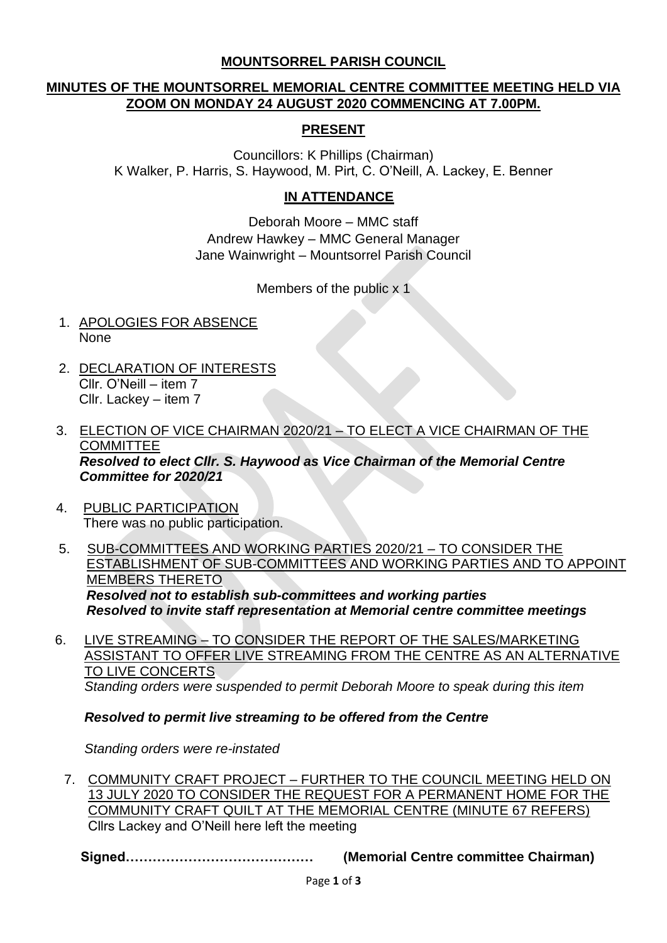### **MOUNTSORREL PARISH COUNCIL**

# **MINUTES OF THE MOUNTSORREL MEMORIAL CENTRE COMMITTEE MEETING HELD VIA ZOOM ON MONDAY 24 AUGUST 2020 COMMENCING AT 7.00PM.**

## **PRESENT**

Councillors: K Phillips (Chairman) K Walker, P. Harris, S. Haywood, M. Pirt, C. O'Neill, A. Lackey, E. Benner

### **IN ATTENDANCE**

Deborah Moore – MMC staff Andrew Hawkey – MMC General Manager Jane Wainwright – Mountsorrel Parish Council

Members of the public x 1

- 1. APOLOGIES FOR ABSENCE None
- 2. DECLARATION OF INTERESTS Cllr. O'Neill – item 7 Cllr. Lackey – item 7
- 3. ELECTION OF VICE CHAIRMAN 2020/21 TO ELECT A VICE CHAIRMAN OF THE **COMMITTEE**  *Resolved to elect Cllr. S. Haywood as Vice Chairman of the Memorial Centre Committee for 2020/21*
- 4. PUBLIC PARTICIPATION There was no public participation.
- 5. SUB-COMMITTEES AND WORKING PARTIES 2020/21 TO CONSIDER THE ESTABLISHMENT OF SUB-COMMITTEES AND WORKING PARTIES AND TO APPOINT MEMBERS THERETO *Resolved not to establish sub-committees and working parties Resolved to invite staff representation at Memorial centre committee meetings*
- 6. LIVE STREAMING TO CONSIDER THE REPORT OF THE SALES/MARKETING ASSISTANT TO OFFER LIVE STREAMING FROM THE CENTRE AS AN ALTERNATIVE TO LIVE CONCERTS *Standing orders were suspended to permit Deborah Moore to speak during this item*

*Resolved to permit live streaming to be offered from the Centre* 

*Standing orders were re-instated*

7. COMMUNITY CRAFT PROJECT – FURTHER TO THE COUNCIL MEETING HELD ON 13 JULY 2020 TO CONSIDER THE REQUEST FOR A PERMANENT HOME FOR THE COMMUNITY CRAFT QUILT AT THE MEMORIAL CENTRE (MINUTE 67 REFERS) Cllrs Lackey and O'Neill here left the meeting

**Signed…………………………………… (Memorial Centre committee Chairman)**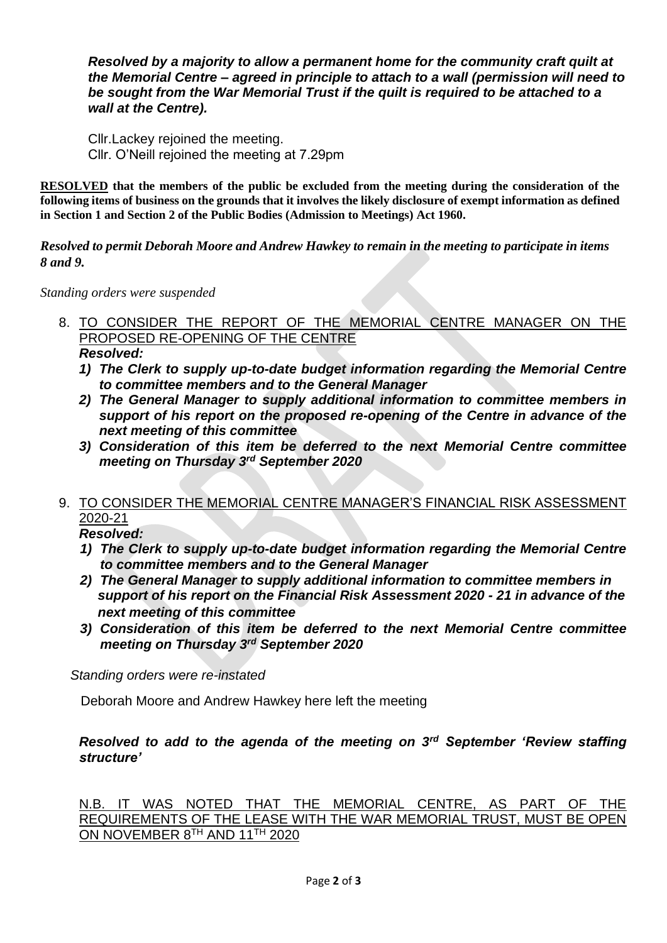*Resolved by a majority to allow a permanent home for the community craft quilt at the Memorial Centre – agreed in principle to attach to a wall (permission will need to be sought from the War Memorial Trust if the quilt is required to be attached to a wall at the Centre).*

Cllr.Lackey rejoined the meeting. Cllr. O'Neill rejoined the meeting at 7.29pm

**RESOLVED that the members of the public be excluded from the meeting during the consideration of the following items of business on the grounds that it involves the likely disclosure of exempt information as defined in Section 1 and Section 2 of the Public Bodies (Admission to Meetings) Act 1960.**

*Resolved to permit Deborah Moore and Andrew Hawkey to remain in the meeting to participate in items 8 and 9.*

*Standing orders were suspended*

- 8. TO CONSIDER THE REPORT OF THE MEMORIAL CENTRE MANAGER ON THE PROPOSED RE-OPENING OF THE CENTRE *Resolved:*
	- *1) The Clerk to supply up-to-date budget information regarding the Memorial Centre to committee members and to the General Manager*
	- *2) The General Manager to supply additional information to committee members in support of his report on the proposed re-opening of the Centre in advance of the next meeting of this committee*
	- *3) Consideration of this item be deferred to the next Memorial Centre committee meeting on Thursday 3rd September 2020*

### 9. TO CONSIDER THE MEMORIAL CENTRE MANAGER'S FINANCIAL RISK ASSESSMENT 2020-21

*Resolved:*

- *1) The Clerk to supply up-to-date budget information regarding the Memorial Centre to committee members and to the General Manager*
- *2) The General Manager to supply additional information to committee members in support of his report on the Financial Risk Assessment 2020 - 21 in advance of the next meeting of this committee*
- *3) Consideration of this item be deferred to the next Memorial Centre committee meeting on Thursday 3rd September 2020*

*Standing orders were re-instated*

Deborah Moore and Andrew Hawkey here left the meeting

### *Resolved to add to the agenda of the meeting on 3rd September 'Review staffing structure'*

N.B. IT WAS NOTED THAT THE MEMORIAL CENTRE, AS PART OF THE REQUIREMENTS OF THE LEASE WITH THE WAR MEMORIAL TRUST, MUST BE OPEN ON NOVEMBER 8TH AND 11TH 2020